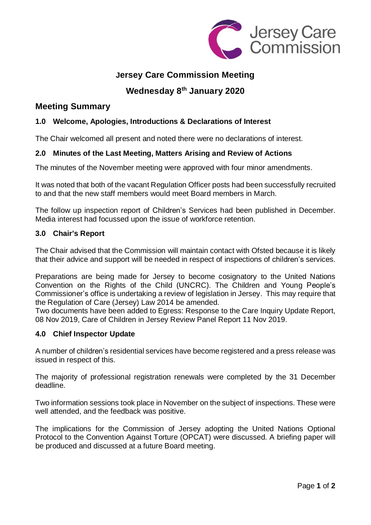

# **Jersey Care Commission Meeting**

# **Wednesday 8 th January 2020**

## **Meeting Summary**

## **1.0 Welcome, Apologies, Introductions & Declarations of Interest**

The Chair welcomed all present and noted there were no declarations of interest.

## **2.0 Minutes of the Last Meeting, Matters Arising and Review of Actions**

The minutes of the November meeting were approved with four minor amendments.

It was noted that both of the vacant Regulation Officer posts had been successfully recruited to and that the new staff members would meet Board members in March.

The follow up inspection report of Children's Services had been published in December. Media interest had focussed upon the issue of workforce retention.

#### **3.0 Chair's Report**

The Chair advised that the Commission will maintain contact with Ofsted because it is likely that their advice and support will be needed in respect of inspections of children's services.

Preparations are being made for Jersey to become cosignatory to the United Nations Convention on the Rights of the Child (UNCRC). The Children and Young People's Commissioner's office is undertaking a review of legislation in Jersey. This may require that the Regulation of Care (Jersey) Law 2014 be amended.

Two documents have been added to Egress: Response to the Care Inquiry Update Report, 08 Nov 2019, Care of Children in Jersey Review Panel Report 11 Nov 2019.

#### **4.0 Chief Inspector Update**

A number of children's residential services have become registered and a press release was issued in respect of this.

The majority of professional registration renewals were completed by the 31 December deadline.

Two information sessions took place in November on the subject of inspections. These were well attended, and the feedback was positive.

The implications for the Commission of Jersey adopting the United Nations Optional Protocol to the Convention Against Torture (OPCAT) were discussed. A briefing paper will be produced and discussed at a future Board meeting.